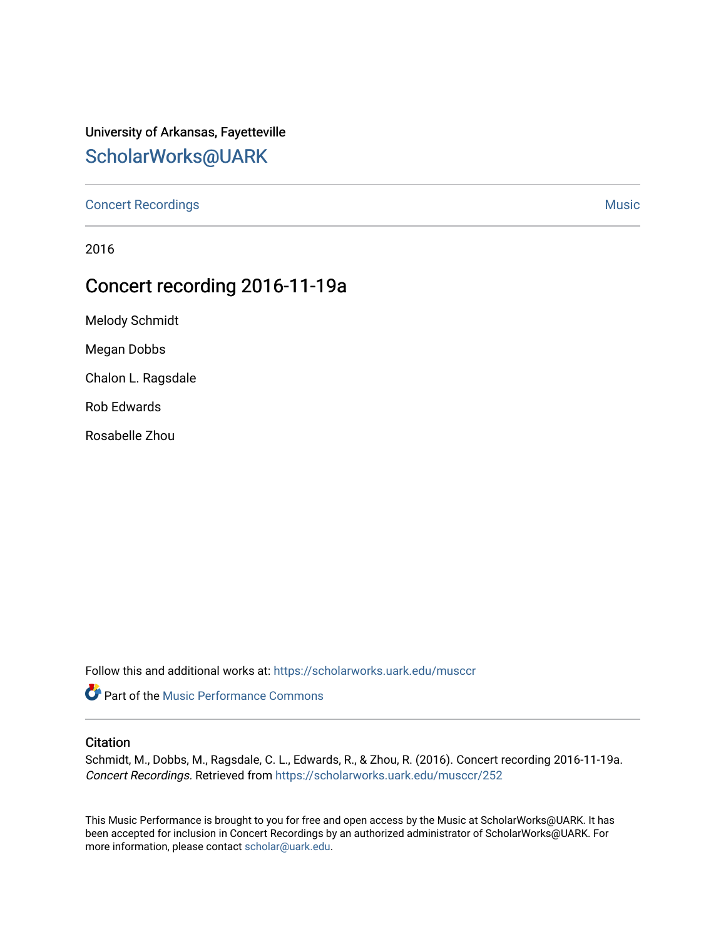## University of Arkansas, Fayetteville [ScholarWorks@UARK](https://scholarworks.uark.edu/)

[Concert Recordings](https://scholarworks.uark.edu/musccr) [Music](https://scholarworks.uark.edu/musc) Network and Security Assembly and Security Assembly Assembly Assembly Assembly Assembly

2016

## Concert recording 2016-11-19a

Melody Schmidt

Megan Dobbs

Chalon L. Ragsdale

Rob Edwards

Rosabelle Zhou

Follow this and additional works at: [https://scholarworks.uark.edu/musccr](https://scholarworks.uark.edu/musccr?utm_source=scholarworks.uark.edu%2Fmusccr%2F252&utm_medium=PDF&utm_campaign=PDFCoverPages) 

**C** Part of the [Music Performance Commons](http://network.bepress.com/hgg/discipline/1128?utm_source=scholarworks.uark.edu%2Fmusccr%2F252&utm_medium=PDF&utm_campaign=PDFCoverPages)

#### **Citation**

Schmidt, M., Dobbs, M., Ragsdale, C. L., Edwards, R., & Zhou, R. (2016). Concert recording 2016-11-19a. Concert Recordings. Retrieved from [https://scholarworks.uark.edu/musccr/252](https://scholarworks.uark.edu/musccr/252?utm_source=scholarworks.uark.edu%2Fmusccr%2F252&utm_medium=PDF&utm_campaign=PDFCoverPages) 

This Music Performance is brought to you for free and open access by the Music at ScholarWorks@UARK. It has been accepted for inclusion in Concert Recordings by an authorized administrator of ScholarWorks@UARK. For more information, please contact [scholar@uark.edu.](mailto:scholar@uark.edu)